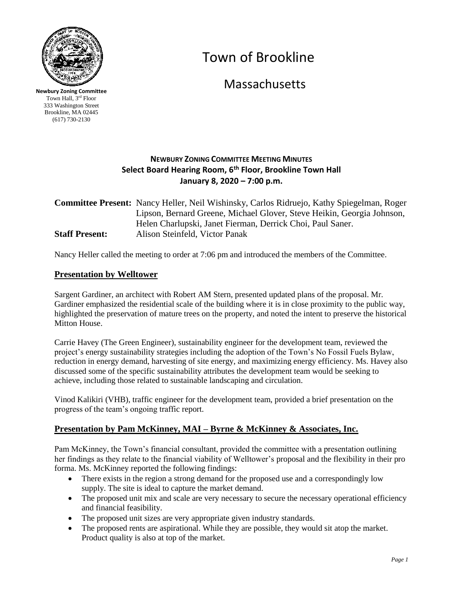

**Newbury Zoning Committee** Town Hall, 3rd Floor 333 Washington Street Brookline, MA 02445 (617) 730-2130

# Town of Brookline

**Massachusetts** 

## **NEWBURY ZONING COMMITTEE MEETING MINUTES Select Board Hearing Room, 6th Floor, Brookline Town Hall January 8, 2020 – 7:00 p.m.**

## **Committee Present:** Nancy Heller, Neil Wishinsky, Carlos Ridruejo, Kathy Spiegelman, Roger Lipson, Bernard Greene, Michael Glover, Steve Heikin, Georgia Johnson, Helen Charlupski, Janet Fierman, Derrick Choi, Paul Saner. **Staff Present:** Alison Steinfeld, Victor Panak

Nancy Heller called the meeting to order at 7:06 pm and introduced the members of the Committee.

## **Presentation by Welltower**

Sargent Gardiner, an architect with Robert AM Stern, presented updated plans of the proposal. Mr. Gardiner emphasized the residential scale of the building where it is in close proximity to the public way, highlighted the preservation of mature trees on the property, and noted the intent to preserve the historical Mitton House.

Carrie Havey (The Green Engineer), sustainability engineer for the development team, reviewed the project's energy sustainability strategies including the adoption of the Town's No Fossil Fuels Bylaw, reduction in energy demand, harvesting of site energy, and maximizing energy efficiency. Ms. Havey also discussed some of the specific sustainability attributes the development team would be seeking to achieve, including those related to sustainable landscaping and circulation.

Vinod Kalikiri (VHB), traffic engineer for the development team, provided a brief presentation on the progress of the team's ongoing traffic report.

## **Presentation by Pam McKinney, MAI – Byrne & McKinney & Associates, Inc.**

Pam McKinney, the Town's financial consultant, provided the committee with a presentation outlining her findings as they relate to the financial viability of Welltower's proposal and the flexibility in their pro forma. Ms. McKinney reported the following findings:

- There exists in the region a strong demand for the proposed use and a correspondingly low supply. The site is ideal to capture the market demand.
- The proposed unit mix and scale are very necessary to secure the necessary operational efficiency and financial feasibility.
- The proposed unit sizes are very appropriate given industry standards.
- The proposed rents are aspirational. While they are possible, they would sit atop the market. Product quality is also at top of the market.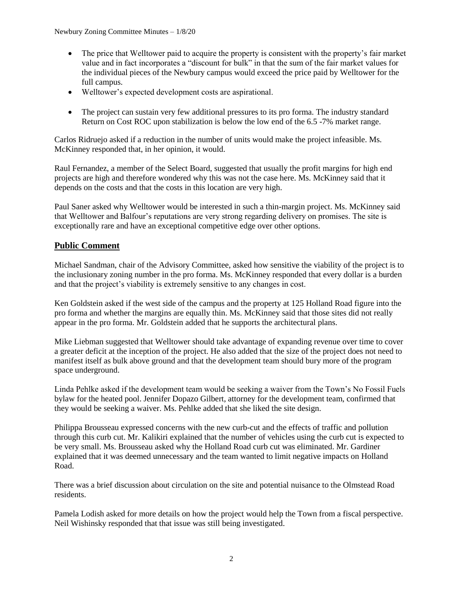- The price that Welltower paid to acquire the property is consistent with the property's fair market value and in fact incorporates a "discount for bulk" in that the sum of the fair market values for the individual pieces of the Newbury campus would exceed the price paid by Welltower for the full campus.
- Welltower's expected development costs are aspirational.
- The project can sustain very few additional pressures to its pro forma. The industry standard Return on Cost ROC upon stabilization is below the low end of the 6.5 -7% market range.

Carlos Ridruejo asked if a reduction in the number of units would make the project infeasible. Ms. McKinney responded that, in her opinion, it would.

Raul Fernandez, a member of the Select Board, suggested that usually the profit margins for high end projects are high and therefore wondered why this was not the case here. Ms. McKinney said that it depends on the costs and that the costs in this location are very high.

Paul Saner asked why Welltower would be interested in such a thin-margin project. Ms. McKinney said that Welltower and Balfour's reputations are very strong regarding delivery on promises. The site is exceptionally rare and have an exceptional competitive edge over other options.

## **Public Comment**

Michael Sandman, chair of the Advisory Committee, asked how sensitive the viability of the project is to the inclusionary zoning number in the pro forma. Ms. McKinney responded that every dollar is a burden and that the project's viability is extremely sensitive to any changes in cost.

Ken Goldstein asked if the west side of the campus and the property at 125 Holland Road figure into the pro forma and whether the margins are equally thin. Ms. McKinney said that those sites did not really appear in the pro forma. Mr. Goldstein added that he supports the architectural plans.

Mike Liebman suggested that Welltower should take advantage of expanding revenue over time to cover a greater deficit at the inception of the project. He also added that the size of the project does not need to manifest itself as bulk above ground and that the development team should bury more of the program space underground.

Linda Pehlke asked if the development team would be seeking a waiver from the Town's No Fossil Fuels bylaw for the heated pool. Jennifer Dopazo Gilbert, attorney for the development team, confirmed that they would be seeking a waiver. Ms. Pehlke added that she liked the site design.

Philippa Brousseau expressed concerns with the new curb-cut and the effects of traffic and pollution through this curb cut. Mr. Kalikiri explained that the number of vehicles using the curb cut is expected to be very small. Ms. Brousseau asked why the Holland Road curb cut was eliminated. Mr. Gardiner explained that it was deemed unnecessary and the team wanted to limit negative impacts on Holland Road.

There was a brief discussion about circulation on the site and potential nuisance to the Olmstead Road residents.

Pamela Lodish asked for more details on how the project would help the Town from a fiscal perspective. Neil Wishinsky responded that that issue was still being investigated.